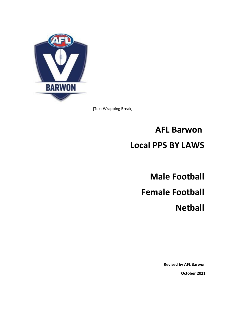

[Text Wrapping Break]

# **AFL Barwon Local PPS BY LAWS**

**Male Football Female Football Netball**

> **Revised by AFL Barwon October 2021**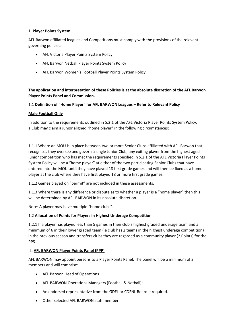## 1**. Player Points System**

AFL Barwon affiliated leagues and Competitions must comply with the provisions of the relevant governing policies:

- AFL Victoria Player Points System Policy.
- AFL Barwon Netball Player Points System Policy
- AFL Barwon Women's Football Player Points System Policy

**The application and interpretation of these Policies is at the absolute discretion of the AFL Barwon Player Points Panel and Commission.**

# 1.1 **Definition of "Home Player" for AFL BARWON Leagues – Refer to Relevant Policy**

# **Male Football Only**

In addition to the requirements outlined in 5.2.1 of the AFL Victoria Player Points System Policy, a Club may claim a junior aligned "home player" in the following circumstances:

1.1.1 Where an MOU is in place between two or more Senior Clubs affiliated with AFL Barwon that recognises they oversee and govern a single Junior Club; any exiting player from the highest aged junior competition who has met the requirements specified in 5.2.1 of the AFL Victoria Player Points System Policy will be a "home player" at either of the two participating Senior Clubs that have entered into the MOU until they have played 18 first grade games and will then be fixed as a home player at the club where they have first played 18 or more first grade games.

1.1.2 Games played on "permit" are not included in these assessments.

1.1.3 Where there is any difference or dispute as to whether a player is a "home player" then this will be determined by AFL BARWON in its absolute discretion.

Note: A player may have multiple "home clubs".

# 1.2 **Allocation of Points for Players in Highest Underage Competition**

1.2.1 If a player has played less than 5 games in their club's highest graded underage team and a minimum of 6 in their lower graded team (ie club has 2 teams in the highest underage competition) in the previous season and transfers clubs they are regarded as a community player (2 Points) for the PPS

# 2. **AFL BARWON Player Points Panel (PPP)**

AFL BARWON may appoint persons to a Player Points Panel. The panel will be a minimum of 3 members and will comprise:

- AFL Barwon Head of Operations
- AFL BARWON Operations Managers (Football & Netball);
- An endorsed representative from the GDFL or CDFNL Board if required.
- Other selected AFL BARWON staff member.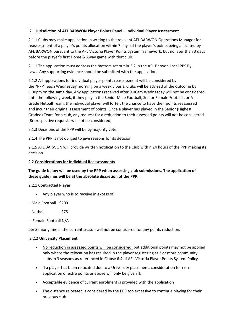# 2.1 **Jurisdiction of AFL BARWON Player Points Panel – Individual Player Assessment**

2.1.1 Clubs may make application in writing to the relevant AFL BARWON Operations Manager for reassessment of a player's points allocation within 7 days of the player's points being allocated by AFL BARWON pursuant to the AFL Victoria Player Points System framework, but no later than 3 days before the player's first Home & Away game with that club.

2.1.1 The application must address the matters set out in 2.2 in the AFL Barwon Local PPS By-Laws. Any supporting evidence should be submitted with the application.

2.1.2 All applications for individual player points reassessment will be considered by the "PPP" each Wednesday morning on a weekly basis. Clubs will be advised of the outcome by 5.00pm on the same day. Any applications received after 9.00am Wednesday will not be considered until the following week, if they play in the Senior Male Football, Senior Female Football, or A Grade Netball Team, the individual player will forfeit the chance to have their points reassessed and incur their original assessment of points. Once a player has played in the Senior (Highest Graded) Team for a club, any request for a reduction to their assessed points will not be considered. (Retrospective requests will not be considered)

2.1.3 Decisions of the PPP will be by majority vote.

2.1.4 The PPP is not obliged to give reasons for its decision

2.1.5 AFL BARWON will provide written notification to the Club within 24 hours of the PPP making its decision.

# 2.2 **Considerations for Individual Reassessments**

# **The guide below will be used by the PPP when assessing club submissions. The application of these guidelines will be at the absolute discretion of the PPP.**

# 2.2.1 **Contracted Player**

- Any player who is to receive in excess of:
- Male Football \$200
- $-$  Netball  $\qquad$  \$75
- Female Football N/A

per Senior game in the current season will not be considered for any points reduction.

#### 2.2.2 **University Placement**

- No reduction in assessed points will be considered, but additional points may not be applied only where the relocation has resulted in the player registering at 3 or more community clubs in 3 seasons as referenced in Clause 6.4 of AFL Victoria Player Points System Policy.
- If a player has been relocated due to a University placement, consideration for nonapplication of extra points as above will only be given if:
- Acceptable evidence of current enrolment is provided with the application
- The distance relocated is considered by the PPP too excessive to continue playing for their previous club.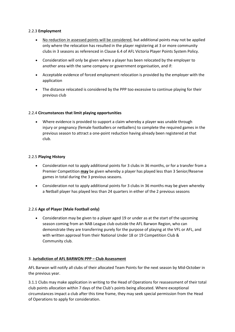# 2.2.3 **Employment**

- No reduction in assessed points will be considered, but additional points may not be applied only where the relocation has resulted in the player registering at 3 or more community clubs in 3 seasons as referenced in Clause 6.4 of AFL Victoria Player Points System Policy.
- Consideration will only be given where a player has been relocated by the employer to another area with the same company or government organisation, and if:
- Acceptable evidence of forced employment relocation is provided by the employer with the application
- The distance relocated is considered by the PPP too excessive to continue playing for their previous club

# 2.2.4 **Circumstances that limit playing opportunities**

• Where evidence is provided to support a claim whereby a player was unable through injury or pregnancy (female footballers or netballers) to complete the required games in the previous season to attract a one-point reduction having already been registered at that club.

# 2.2.5 **Playing History**

- Consideration not to apply additional points for 3 clubs in 36 months, or for a transfer from a Premier Competition **may** be given whereby a player has played less than 3 Senior/Reserve games in total during the 3 previous seasons.
- Consideration not to apply additional points for 3 clubs in 36 months may be given whereby a Netball player has played less than 24 quarters in either of the 2 previous seasons

# 2.2.6 **Age of Player (Male Football only)**

• Consideration may be given to a player aged 19 or under as at the start of the upcoming season coming from an NAB League club outside the AFL Barwon Region, who can demonstrate they are transferring purely for the purpose of playing at the VFL or AFL, and with written approval from their National Under 18 or 19 Competition Club & Community club.

# 3. **Jurisdiction of AFL BARWON PPP – Club Assessment**

AFL Barwon will notify all clubs of their allocated Team Points for the next season by Mid-October in the previous year.

3.1.1 Clubs may make application in writing to the Head of Operations for reassessment of their total club points allocation within 7 days of the Club's points being allocated. Where exceptional circumstances impact a club after this time frame, they may seek special permission from the Head of Operations to apply for consideration.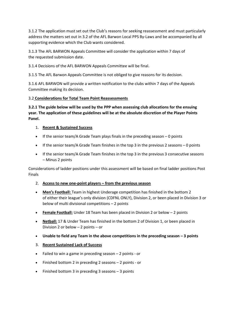3.1.2 The application must set out the Club's reasons for seeking reassessment and must particularly address the matters set out in 3.2 of the AFL Barwon Local PPS By-Laws and be accompanied by all supporting evidence which the Club wants considered.

3.1.3 The AFL BARWON Appeals Committee will consider the application within 7 days of the requested submission date.

3.1.4 Decisions of the AFL BARWON Appeals Committee will be final.

3.1.5 The AFL Barwon Appeals Committee is not obliged to give reasons for its decision.

3.1.6 AFL BARWON will provide a written notification to the clubs within 7 days of the Appeals Committee making its decision.

# 3.2 **Considerations for Total Team Point Reassessments**

**3.2.1 The guide below will be used by the PPP when assessing club allocations for the ensuing year. The application of these guidelines will be at the absolute discretion of the Player Points Panel.**

# 1. **Recent & Sustained Success**

- If the senior team/A Grade Team plays finals in the preceding season 0 points
- If the senior team/A Grade Team finishes in the top 3 in the previous 2 seasons 0 points
- If the senior team/A Grade Team finishes in the top 3 in the previous 3 consecutive seasons – Minus 2 points

Considerations of ladder positions under this assessment will be based on final ladder positions Post Finals

- 2. **Access to new one-point players – from the previous season**
- **Men's Football:** Team in highest Underage competition has finished in the bottom 2 of either their league's only division (CDFNL ONLY), Division 2, or been placed in Division 3 or below of multi divisional competitions – 2 points
- **Female Football:** Under 18 Team has been placed in Division 2 or below 2 points
- **Netball:** 17 & Under Team has finished in the bottom 2 of Division 1, or been placed in Division 2 or below – 2 points – or
- **Unable to field any Team in the above competitions in the preceding season – 3 points**
- 3. **Recent Sustained Lack of Success**
- Failed to win a game in preceding season 2 points or
- Finished bottom 2 in preceding 2 seasons 2 points or
- Finished bottom 3 in preceding 3 seasons 3 points